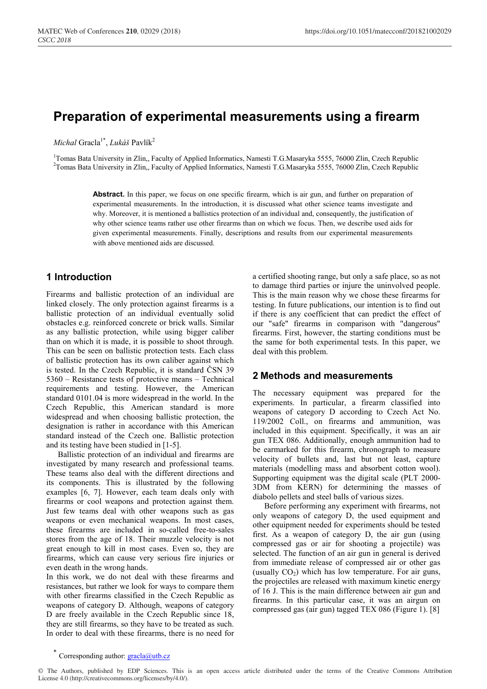# **Preparation of experimental measurements using a firearm**

*Michal* Gracla<sup>1\*</sup>, *Lukáš* Pavlík<sup>2</sup>

<sup>1</sup>Tomas Bata University in Zlin,, Faculty of Applied Informatics, Namesti T.G.Masaryka 5555, 76000 Zlin, Czech Republic <sup>2</sup>Tomas Bata University in Zlin, Faculty of Applied Informatics, Namesti T.G.Masaryka 5555, 76000 Zl <sup>2</sup>Tomas Bata University in Zlin,, Faculty of Applied Informatics, Namesti T.G.Masaryka 5555, 76000 Zlin, Czech Republic

> Abstract. In this paper, we focus on one specific firearm, which is air gun, and further on preparation of experimental measurements. In the introduction, it is discussed what other science teams investigate and why. Moreover, it is mentioned a ballistics protection of an individual and, consequently, the justification of why other science teams rather use other firearms than on which we focus. Then, we describe used aids for given experimental measurements. Finally, descriptions and results from our experimental measurements with above mentioned aids are discussed.

### **1 Introduction**

Firearms and ballistic protection of an individual are linked closely. The only protection against firearms is a ballistic protection of an individual eventually solid obstacles e.g. reinforced concrete or brick walls. Similar as any ballistic protection, while using bigger caliber than on which it is made, it is possible to shoot through. This can be seen on ballistic protection tests. Each class of ballistic protection has its own caliber against which is tested. In the Czech Republic, it is standard ČSN 39 5360 – Resistance tests of protective means – Technical requirements and testing. However, the American standard 0101.04 is more widespread in the world. In the Czech Republic, this American standard is more widespread and when choosing ballistic protection, the designation is rather in accordance with this American standard instead of the Czech one. Ballistic protection and its testing have been studied in [1-5].

Ballistic protection of an individual and firearms are investigated by many research and professional teams. These teams also deal with the different directions and its components. This is illustrated by the following examples [6, 7]. However, each team deals only with firearms or cool weapons and protection against them. Just few teams deal with other weapons such as gas weapons or even mechanical weapons. In most cases, these firearms are included in so-called free-to-sales stores from the age of 18. Their muzzle velocity is not great enough to kill in most cases. Even so, they are firearms, which can cause very serious fire injuries or even death in the wrong hands.

In this work, we do not deal with these firearms and resistances, but rather we look for ways to compare them with other firearms classified in the Czech Republic as weapons of category D. Although, weapons of category D are freely available in the Czech Republic since 18, they are still firearms, so they have to be treated as such. In order to deal with these firearms, there is no need for a certified shooting range, but only a safe place, so as not to damage third parties or injure the uninvolved people. This is the main reason why we chose these firearms for testing. In future publications, our intention is to find out if there is any coefficient that can predict the effect of our "safe" firearms in comparison with "dangerous" firearms. First, however, the starting conditions must be the same for both experimental tests. In this paper, we deal with this problem.

### **2 Methods and measurements**

The necessary equipment was prepared for the experiments. In particular, a firearm classified into weapons of category D according to Czech Act No. 119/2002 Coll., on firearms and ammunition, was included in this equipment. Specifically, it was an air gun TEX 086. Additionally, enough ammunition had to be earmarked for this firearm, chronograph to measure velocity of bullets and, last but not least, capture materials (modelling mass and absorbent cotton wool). Supporting equipment was the digital scale (PLT 2000- 3DM from KERN) for determining the masses of diabolo pellets and steel balls of various sizes.

Before performing any experiment with firearms, not only weapons of category D, the used equipment and other equipment needed for experiments should be tested first. As a weapon of category D, the air gun (using compressed gas or air for shooting a projectile) was selected. The function of an air gun in general is derived from immediate release of compressed air or other gas (usually  $CO<sub>2</sub>$ ) which has low temperature. For air guns, the projectiles are released with maximum kinetic energy of 16 J. This is the main difference between air gun and firearms. In this particular case, it was an airgun on compressed gas (air gun) tagged TEX 086 (Figure 1). [8]

<sup>\*</sup> Corresponding author: **gracla@utb.cz** 

<sup>©</sup> The Authors, published by EDP Sciences. This is an open access article distributed under the terms of the Creative Commons Attribution License 4.0 (http://creativecommons.org/licenses/by/4.0/).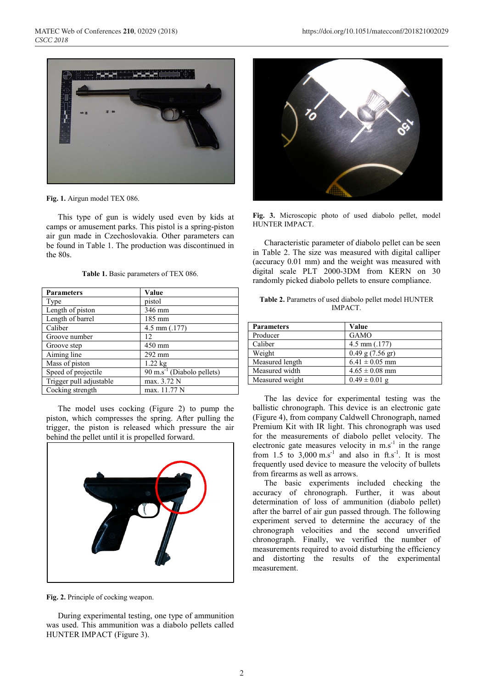

**Fig. 1.** Airgun model TEX 086.

This type of gun is widely used even by kids at camps or amusement parks. This pistol is a spring-piston air gun made in Czechoslovakia. Other parameters can be found in Table 1. The production was discontinued in the 80s.

| <b>Parameters</b>       | Value                                              |  |  |  |  |  |
|-------------------------|----------------------------------------------------|--|--|--|--|--|
| Type                    | pistol                                             |  |  |  |  |  |
| Length of piston        | 346 mm                                             |  |  |  |  |  |
| Length of barrel        | 185 mm                                             |  |  |  |  |  |
| Caliber                 | 4.5 mm $(.177)$                                    |  |  |  |  |  |
| Groove number           | 12                                                 |  |  |  |  |  |
| Groove step             | 450 mm                                             |  |  |  |  |  |
| Aiming line             | 292 mm                                             |  |  |  |  |  |
| Mass of piston          | $1.22$ kg                                          |  |  |  |  |  |
| Speed of projectile     | $\overline{90 \text{ m.s}}^{-1}$ (Diabolo pellets) |  |  |  |  |  |
| Trigger pull adjustable | max. 3.72 N                                        |  |  |  |  |  |
| Cocking strength        | max. 11.77 N                                       |  |  |  |  |  |

The model uses cocking (Figure 2) to pump the piston, which compresses the spring. After pulling the trigger, the piston is released which pressure the air behind the pellet until it is propelled forward.



**Fig. 2.** Principle of cocking weapon.

During experimental testing, one type of ammunition was used. This ammunition was a diabolo pellets called HUNTER IMPACT (Figure 3).



**Fig. 3.** Microscopic photo of used diabolo pellet, model HUNTER IMPACT.

Characteristic parameter of diabolo pellet can be seen in Table 2. The size was measured with digital calliper (accuracy 0.01 mm) and the weight was measured with digital scale PLT 2000-3DM from KERN on 30 randomly picked diabolo pellets to ensure compliance.

|  | <b>Table 2.</b> Parametrs of used diabolo pellet model HUNTER |  |
|--|---------------------------------------------------------------|--|
|  | IMPACT.                                                       |  |

| <b>Parameters</b> | Value                |
|-------------------|----------------------|
| Producer          | <b>GAMO</b>          |
| Caliber           | $4.5$ mm $(.177)$    |
| Weight            | $0.49$ g $(7.56$ gr) |
| Measured length   | $6.41 \pm 0.05$ mm   |
| Measured width    | $4.65 \pm 0.08$ mm   |
| Measured weight   | $0.49 \pm 0.01$ g    |

The las device for experimental testing was the ballistic chronograph. This device is an electronic gate (Figure 4), from company Caldwell Chronograph, named Premium Kit with IR light. This chronograph was used for the measurements of diabolo pellet velocity. The electronic gate measures velocity in  $ms^{-1}$  in the range from 1.5 to  $3,000 \text{ m.s}^{-1}$  and also in ft.s<sup>-1</sup>. It is most frequently used device to measure the velocity of bullets from firearms as well as arrows.

The basic experiments included checking the accuracy of chronograph. Further, it was about determination of loss of ammunition (diabolo pellet) after the barrel of air gun passed through. The following experiment served to determine the accuracy of the chronograph velocities and the second unverified chronograph. Finally, we verified the number of measurements required to avoid disturbing the efficiency and distorting the results of the experimental measurement.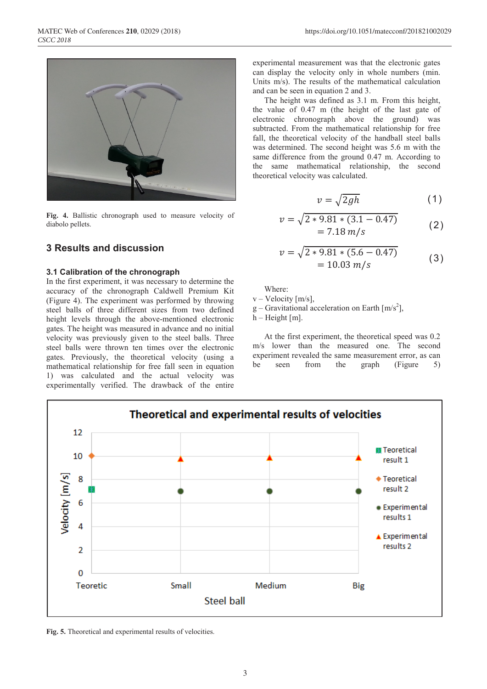

**Fig. 4.** Ballistic chronograph used to measure velocity of diabolo pellets.

### **3 Results and discussion**

#### **3.1 Calibration of the chronograph**

In the first experiment, it was necessary to determine the accuracy of the chronograph Caldwell Premium Kit (Figure 4). The experiment was performed by throwing steel balls of three different sizes from two defined height levels through the above-mentioned electronic gates. The height was measured in advance and no initial velocity was previously given to the steel balls. Three steel balls were thrown ten times over the electronic gates. Previously, the theoretical velocity (using a mathematical relationship for free fall seen in equation 1) was calculated and the actual velocity was experimentally verified. The drawback of the entire

experimental measurement was that the electronic gates can display the velocity only in whole numbers (min. Units m/s). The results of the mathematical calculation and can be seen in equation 2 and 3.

The height was defined as 3.1 m. From this height, the value of 0.47 m (the height of the last gate of electronic chronograph above the ground) was subtracted. From the mathematical relationship for free fall, the theoretical velocity of the handball steel balls was determined. The second height was 5.6 m with the same difference from the ground 0.47 m. According to the same mathematical relationship, the second theoretical velocity was calculated.

$$
v = \sqrt{2gh} \tag{1}
$$

$$
v = \sqrt{2 * 9.81 * (3.1 - 0.47)}
$$
  
= 7.18 m/s (2)

$$
v = \sqrt{2 * 9.81 * (5.6 - 0.47)}
$$
  
= 10.03 m/s (3)

Where:

 $v -$  Velocity [m/s],

 $g$  – Gravitational acceleration on Earth [m/s<sup>2</sup>],

 $h$  – Height [m].

At the first experiment, the theoretical speed was 0.2 m/s lower than the measured one. The second experiment revealed the same measurement error, as can be seen from the graph (Figure 5)



**Fig. 5.** Theoretical and experimental results of velocities.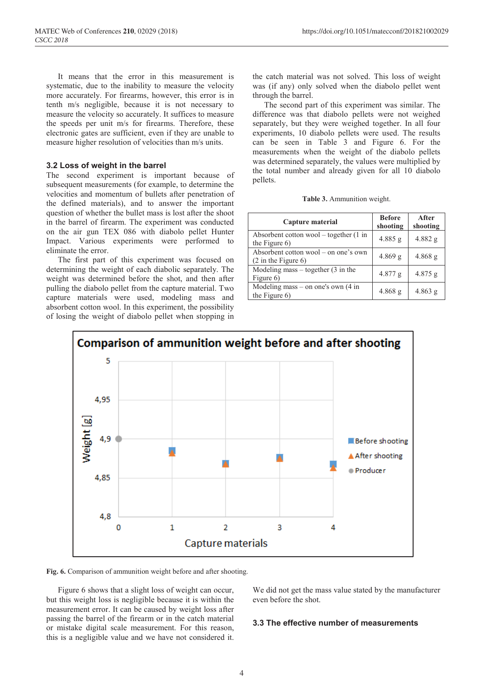It means that the error in this measurement is systematic, due to the inability to measure the velocity more accurately. For firearms, however, this error is in tenth m/s negligible, because it is not necessary to measure the velocity so accurately. It suffices to measure the speeds per unit m/s for firearms. Therefore, these electronic gates are sufficient, even if they are unable to measure higher resolution of velocities than m/s units.

#### **3.2 Loss of weight in the barrel**

The second experiment is important because of subsequent measurements (for example, to determine the velocities and momentum of bullets after penetration of the defined materials), and to answer the important question of whether the bullet mass is lost after the shoot in the barrel of firearm. The experiment was conducted on the air gun TEX 086 with diabolo pellet Hunter Impact. Various experiments were performed to eliminate the error.

The first part of this experiment was focused on determining the weight of each diabolic separately. The weight was determined before the shot, and then after pulling the diabolo pellet from the capture material. Two capture materials were used, modeling mass and absorbent cotton wool. In this experiment, the possibility of losing the weight of diabolo pellet when stopping in

the catch material was not solved. This loss of weight was (if any) only solved when the diabolo pellet went through the barrel.

The second part of this experiment was similar. The difference was that diabolo pellets were not weighed separately, but they were weighed together. In all four experiments, 10 diabolo pellets were used. The results can be seen in Table 3 and Figure 6. For the measurements when the weight of the diabolo pellets was determined separately, the values were multiplied by the total number and already given for all 10 diabolo pellets.

| Table 3. Ammunition weight. |  |  |
|-----------------------------|--|--|
|-----------------------------|--|--|

| Capture material                                                      | <b>Before</b><br>shooting | After<br>shooting |
|-----------------------------------------------------------------------|---------------------------|-------------------|
| Absorbent cotton wool – together $(1 \text{ in}$<br>the Figure 6)     | $4.885$ g                 | 4.882 g           |
| Absorbent cotton wool – on one's own<br>$(2 \text{ in the Figure 6})$ | $4.869$ g                 | $4.868$ g         |
| Modeling mass $-$ together $(3 \text{ in the})$<br>Figure 6)          | 4.877 g                   | $4.875$ g         |
| Modeling mass – on one's own $(4 \text{ in}$<br>the Figure $6$ )      | $4.868$ g                 | $4.863$ g         |



**Fig. 6.** Comparison of ammunition weight before and after shooting.

Figure 6 shows that a slight loss of weight can occur, but this weight loss is negligible because it is within the measurement error. It can be caused by weight loss after passing the barrel of the firearm or in the catch material or mistake digital scale measurement. For this reason, this is a negligible value and we have not considered it.

We did not get the mass value stated by the manufacturer even before the shot.

#### **3.3 The effective number of measurements**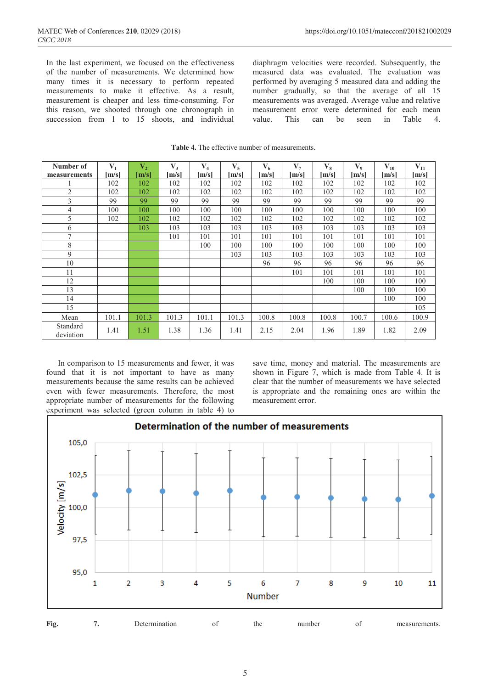In the last experiment, we focused on the effectiveness of the number of measurements. We determined how many times it is necessary to perform repeated measurements to make it effective. As a result, measurement is cheaper and less time-consuming. For this reason, we shooted through one chronograph in succession from 1 to 15 shoots, and individual

diaphragm velocities were recorded. Subsequently, the measured data was evaluated. The evaluation was performed by averaging 5 measured data and adding the number gradually, so that the average of all 15 measurements was averaged. Average value and relative measurement error were determined for each mean value. This can be seen in Table 4.

| Number of             | $V_1$ | $\mathbf{V}_2$ | $V_3$ | $V_4$ | $V_5$ | $V_6$ | $\mathbf{V}_{7}$ | $\mathbf{V}_8$ | $\mathbf{V}_9$ | $\mathbf{V}_{\mathbf{10}}$ | $V_{11}$ |
|-----------------------|-------|----------------|-------|-------|-------|-------|------------------|----------------|----------------|----------------------------|----------|
| measurements          |       |                | [m/s] |       | [m/s] |       |                  |                |                |                            | m/s      |
|                       | [m/s] | [m/s]          |       | [m/s] |       | m/s   | [m/s]            | [m/s]          | [m/s]          | [m/s]                      |          |
|                       | 102   | 102            | 102   | 102   | 102   | 102   | 102              | 102            | 102            | 102                        | 102      |
| $\overline{2}$        | 102   | 102            | 102   | 102   | 102   | 102   | 102              | 102            | 102            | 102                        | 102      |
| 3                     | 99    | 99             | 99    | 99    | 99    | 99    | 99               | 99             | 99             | 99                         | 99       |
| 4                     | 100   | 100            | 100   | 100   | 100   | 100   | 100              | 100            | 100            | 100                        | 100      |
| 5                     | 102   | 102            | 102   | 102   | 102   | 102   | 102              | 102            | 102            | 102                        | 102      |
| 6                     |       | 103            | 103   | 103   | 103   | 103   | 103              | 103            | 103            | 103                        | 103      |
| $\tau$                |       |                | 101   | 101   | 101   | 101   | 101              | 101            | 101            | 101                        | 101      |
| 8                     |       |                |       | 100   | 100   | 100   | 100              | 100            | 100            | 100                        | 100      |
| 9                     |       |                |       |       | 103   | 103   | 103              | 103            | 103            | 103                        | 103      |
| 10                    |       |                |       |       |       | 96    | 96               | 96             | 96             | 96                         | 96       |
| 11                    |       |                |       |       |       |       | 101              | 101            | 101            | 101                        | 101      |
| 12                    |       |                |       |       |       |       |                  | 100            | 100            | 100                        | 100      |
| 13                    |       |                |       |       |       |       |                  |                | 100            | 100                        | 100      |
| 14                    |       |                |       |       |       |       |                  |                |                | 100                        | 100      |
| 15                    |       |                |       |       |       |       |                  |                |                |                            | 105      |
| Mean                  | 101.1 | 101.3          | 101.3 | 101.1 | 101.3 | 100.8 | 100.8            | 100.8          | 100.7          | 100.6                      | 100.9    |
| Standard<br>deviation | 1.41  | 1.51           | 1.38  | 1.36  | 1.41  | 2.15  | 2.04             | 1.96           | 1.89           | 1.82                       | 2.09     |

| <b>Table 4.</b> The effective number of measurements. |
|-------------------------------------------------------|
|-------------------------------------------------------|

In comparison to 15 measurements and fewer, it was found that it is not important to have as many measurements because the same results can be achieved even with fewer measurements. Therefore, the most appropriate number of measurements for the following experiment was selected (green column in table 4) to save time, money and material. The measurements are shown in Figure 7, which is made from Table 4. It is clear that the number of measurements we have selected is appropriate and the remaining ones are within the measurement error.



**Fig.** 7. Determination of the number of measurements.